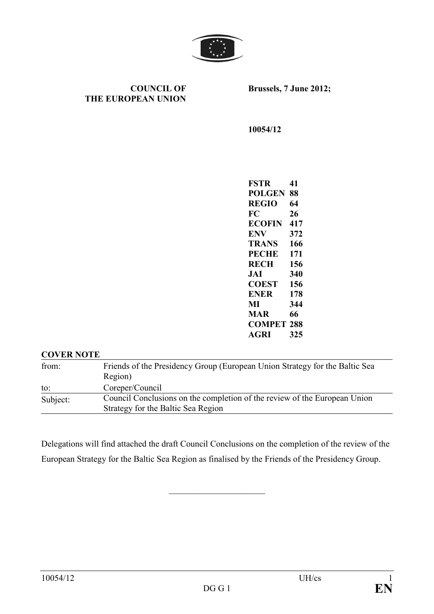

**COUNCIL OF THE EUROPEAN UNION**  **Brussels, 7 June 2012;** 

**10054/12** 

**FSTR 41 POLGEN 88 REGIO 64 FC 26 ECOFIN** 417 **EV 372 TRAS 166 PECHE 171 RECH 156 JAI 340 COEST 156 ENER** 178 **MI 344 MAR 66 COMPET 288 AGRI 325** 

## **COVER NOTE**

from: Friends of the Presidency Group (European Union Strategy for the Baltic Sea Region) to: Coreper/Council Subject: Council Conclusions on the completion of the review of the European Union Strategy for the Baltic Sea Region

Delegations will find attached the draft Council Conclusions on the completion of the review of the European Strategy for the Baltic Sea Region as finalised by the Friends of the Presidency Group.

\_\_\_\_\_\_\_\_\_\_\_\_\_\_\_\_\_\_\_\_\_\_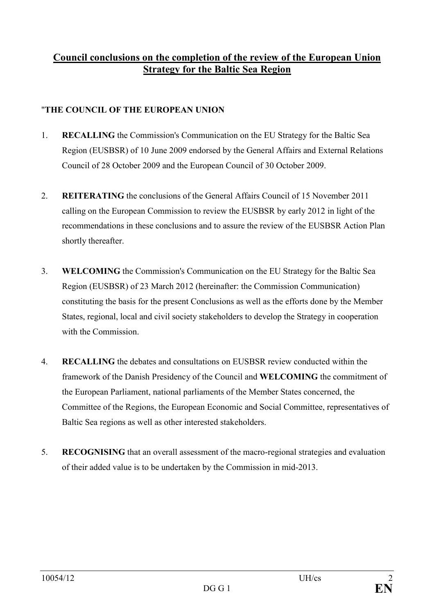## **Council conclusions on the completion of the review of the European Union Strategy for the Baltic Sea Region**

## "THE COUNCIL OF THE EUROPEAN UNION

- 1. **RECALLIG** the Commission's Communication on the EU Strategy for the Baltic Sea Region (EUSBSR) of 10 June 2009 endorsed by the General Affairs and External Relations Council of 28 October 2009 and the European Council of 30 October 2009.
- 2. **REITERATING** the conclusions of the General Affairs Council of 15 November 2011 calling on the European Commission to review the EUSBSR by early 2012 in light of the recommendations in these conclusions and to assure the review of the EUSBSR Action Plan shortly thereafter.
- 3. **WELCOMIG** the Commission's Communication on the EU Strategy for the Baltic Sea Region (EUSBSR) of 23 March 2012 (hereinafter: the Commission Communication) constituting the basis for the present Conclusions as well as the efforts done by the Member States, regional, local and civil society stakeholders to develop the Strategy in cooperation with the Commission.
- 4. **RECALLIG** the debates and consultations on EUSBSR review conducted within the framework of the Danish Presidency of the Council and **WELCOMIG** the commitment of the European Parliament, national parliaments of the Member States concerned, the Committee of the Regions, the European Economic and Social Committee, representatives of Baltic Sea regions as well as other interested stakeholders.
- 5. **RECOGISIG** that an overall assessment of the macro-regional strategies and evaluation of their added value is to be undertaken by the Commission in mid-2013.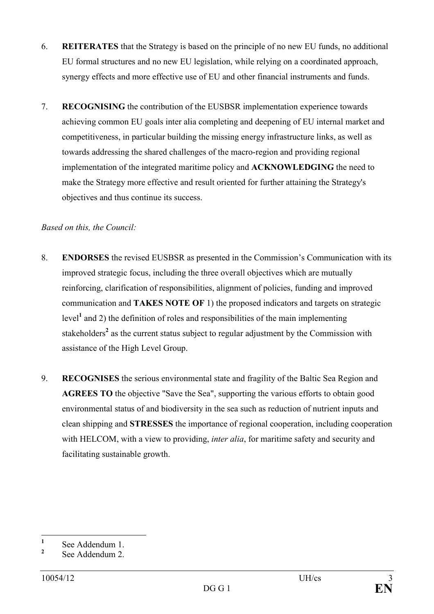- 6. **REITERATES** that the Strategy is based on the principle of no new EU funds, no additional EU formal structures and no new EU legislation, while relying on a coordinated approach, synergy effects and more effective use of EU and other financial instruments and funds.
- 7. **RECOGNISING** the contribution of the EUSBSR implementation experience towards achieving common EU goals inter alia completing and deepening of EU internal market and competitiveness, in particular building the missing energy infrastructure links, as well as towards addressing the shared challenges of the macro-region and providing regional implementation of the integrated maritime policy and **ACKNOWLEDGING** the need to make the Strategy more effective and result oriented for further attaining the Strategy's objectives and thus continue its success.

## *Based on this, the Council:*

- 8. **EDORSES** the revised EUSBSR as presented in the Commission's Communication with its improved strategic focus, including the three overall objectives which are mutually reinforcing, clarification of responsibilities, alignment of policies, funding and improved communication and **TAKES OTE OF** 1) the proposed indicators and targets on strategic level<sup>1</sup> and 2) the definition of roles and responsibilities of the main implementing stakeholders<sup>2</sup> as the current status subject to regular adjustment by the Commission with assistance of the High Level Group.
- 9. **RECOGISES** the serious environmental state and fragility of the Baltic Sea Region and **AGREES TO** the objective "Save the Sea", supporting the various efforts to obtain good environmental status of and biodiversity in the sea such as reduction of nutrient inputs and clean shipping and **STRESSES** the importance of regional cooperation, including cooperation with HELCOM, with a view to providing, *inter alia*, for maritime safety and security and facilitating sustainable growth.

 **1** See Addendum 1.

**<sup>2</sup>** See Addendum 2.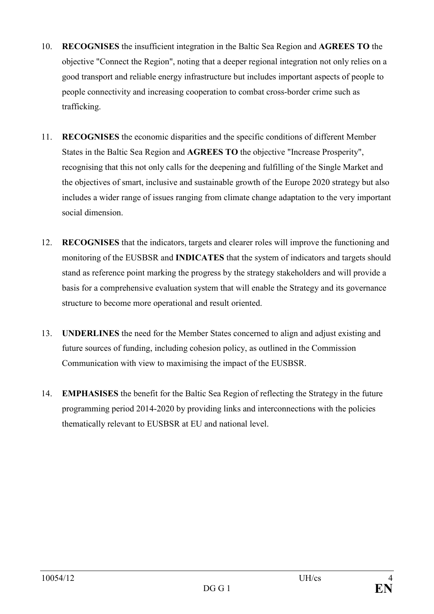- 10. **RECOGISES** the insufficient integration in the Baltic Sea Region and **AGREES TO** the objective "Connect the Region", noting that a deeper regional integration not only relies on a good transport and reliable energy infrastructure but includes important aspects of people to people connectivity and increasing cooperation to combat cross-border crime such as trafficking.
- 11. **RECOGISES** the economic disparities and the specific conditions of different Member States in the Baltic Sea Region and **AGREES TO** the objective "Increase Prosperity", recognising that this not only calls for the deepening and fulfilling of the Single Market and the objectives of smart, inclusive and sustainable growth of the Europe 2020 strategy but also includes a wider range of issues ranging from climate change adaptation to the very important social dimension.
- 12. **RECOGISES** that the indicators, targets and clearer roles will improve the functioning and monitoring of the EUSBSR and **INDICATES** that the system of indicators and targets should stand as reference point marking the progress by the strategy stakeholders and will provide a basis for a comprehensive evaluation system that will enable the Strategy and its governance structure to become more operational and result oriented.
- 13. **UDERLIES** the need for the Member States concerned to align and adjust existing and future sources of funding, including cohesion policy, as outlined in the Commission Communication with view to maximising the impact of the EUSBSR.
- 14. **EMPHASISES** the benefit for the Baltic Sea Region of reflecting the Strategy in the future programming period 2014-2020 by providing links and interconnections with the policies thematically relevant to EUSBSR at EU and national level.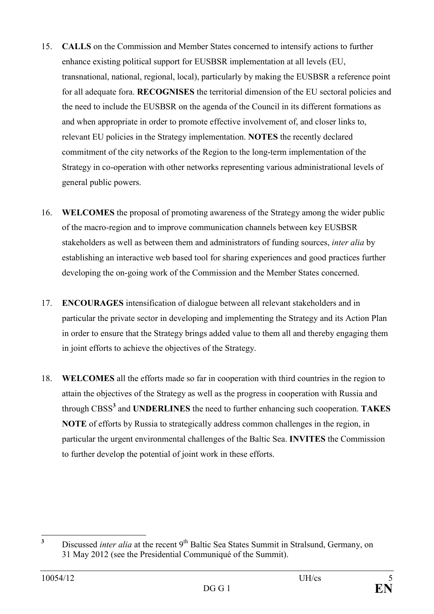- 15. **CALLS** on the Commission and Member States concerned to intensify actions to further enhance existing political support for EUSBSR implementation at all levels (EU, transnational, national, regional, local), particularly by making the EUSBSR a reference point for all adequate fora. **RECOGNISES** the territorial dimension of the EU sectoral policies and the need to include the EUSBSR on the agenda of the Council in its different formations as and when appropriate in order to promote effective involvement of, and closer links to, relevant EU policies in the Strategy implementation. **OTES** the recently declared commitment of the city networks of the Region to the long-term implementation of the Strategy in co-operation with other networks representing various administrational levels of general public powers.
- 16. **WELCOMES** the proposal of promoting awareness of the Strategy among the wider public of the macro-region and to improve communication channels between key EUSBSR stakeholders as well as between them and administrators of funding sources, *inter alia* by establishing an interactive web based tool for sharing experiences and good practices further developing the on-going work of the Commission and the Member States concerned.
- 17. **ENCOURAGES** intensification of dialogue between all relevant stakeholders and in particular the private sector in developing and implementing the Strategy and its Action Plan in order to ensure that the Strategy brings added value to them all and thereby engaging them in joint efforts to achieve the objectives of the Strategy.
- 18. **WELCOMES** all the efforts made so far in cooperation with third countries in the region to attain the objectives of the Strategy as well as the progress in cooperation with Russia and through CBSS<sup>3</sup> and **UNDERLINES** the need to further enhancing such cooperation. TAKES **OTE** of efforts by Russia to strategically address common challenges in the region, in particular the urgent environmental challenges of the Baltic Sea. **IVITES** the Commission to further develop the potential of joint work in these efforts.

 **3** Discussed *inter alia* at the recent 9<sup>th</sup> Baltic Sea States Summit in Stralsund, Germany, on 31 May 2012 (see the Presidential Communiqué of the Summit).